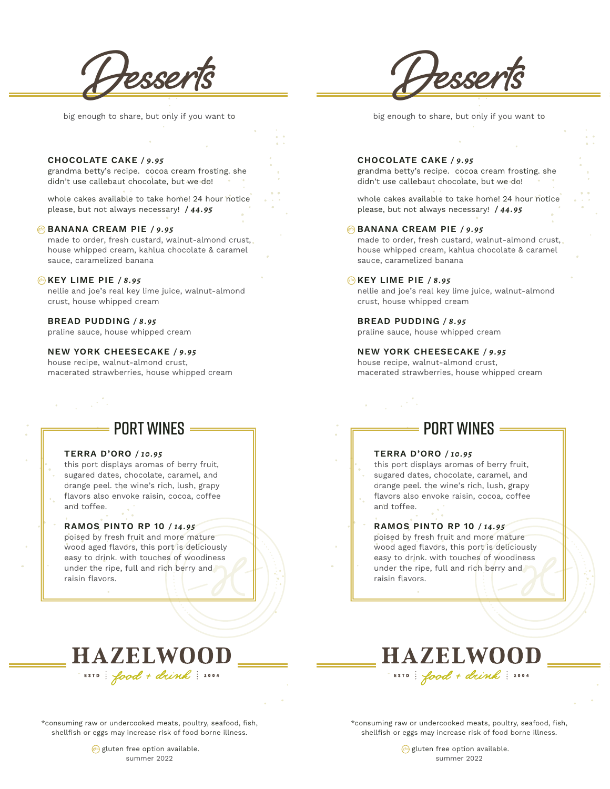

big enough to share, but only if you want to

# **Desserts**

big enough to share, but only if you want to

#### **CHOCOLATE CAKE** */ 9.95*

grandma betty's recipe. cocoa cream frosting. she didn't use callebaut chocolate, but we do!

whole cakes available to take home! 24 hour notice please, but not always necessary! */ 44.95*

#### **BANANA CREAM PIE** */ 9.95* gfo

made to order, fresh custard, walnut-almond crust, house whipped cream, kahlua chocolate & caramel sauce, caramelized banana

#### **KEY LIME PIE** */ 8.95* gfo

nellie and joe's real key lime juice, walnut-almond crust, house whipped cream

#### **BREAD PUDDING** */ 8.95*

praline sauce, house whipped cream

#### **NEW YORK CHEESECAKE** */ 9.95*

house recipe, walnut-almond crust, macerated strawberries, house whipped cream

## **PORT WINFS**  $=$

#### **TERRA D'ORO** */ 10.95*

this port displays aromas of berry fruit, sugared dates, chocolate, caramel, and orange peel. the wine's rich, lush, grapy flavors also envoke raisin, cocoa, coffee and toffee.

#### **RAMOS PINTO RP 10** */ 14.95*

poised by fresh fruit and more mature wood aged flavors, this port is deliciously easy to drink. with touches of woodiness under the ripe, full and rich berry and raisin flavors.

#### **CHOCOLATE CAKE** */ 9.95*

grandma betty's recipe. cocoa cream frosting. she didn't use callebaut chocolate, but we do!

whole cakes available to take home! 24 hour notice please, but not always necessary! */ 44.95*

#### **BANANA CREAM PIE / 9.95**

made to order, fresh custard, walnut-almond crust, house whipped cream, kahlua chocolate & caramel sauce, caramelized banana

#### **KEY LIME PIE** */ 8.95* gfo

nellie and joe's real key lime juice, walnut-almond crust, house whipped cream

**BREAD PUDDING** */ 8.95*

praline sauce, house whipped cream

**NEW YORK CHEESECAKE** */ 9.95* house recipe, walnut-almond crust, macerated strawberries, house whipped cream

### **PORT WINFS**  $=$

#### **TERRA D'ORO** */ 10.95*

this port displays aromas of berry fruit, sugared dates, chocolate, caramel, and orange peel. the wine's rich, lush, grapy flavors also envoke raisin, cocoa, coffee and toffee.

#### **RAMOS PINTO RP 10** */ 14.95*

poised by fresh fruit and more mature wood aged flavors, this port is deliciously easy to drink. with touches of woodiness under the ripe, full and rich berry and raisin flavors.

# **HAZELWOOD** ESTD: food + drink: 2004



\*consuming raw or undercooked meats, poultry, seafood, fish, shellfish or eggs may increase risk of food borne illness.

> gluten free option available. summer 2022

\*consuming raw or undercooked meats, poultry, seafood, fish, shellfish or eggs may increase risk of food borne illness.

> gluten free option available. summer 2022